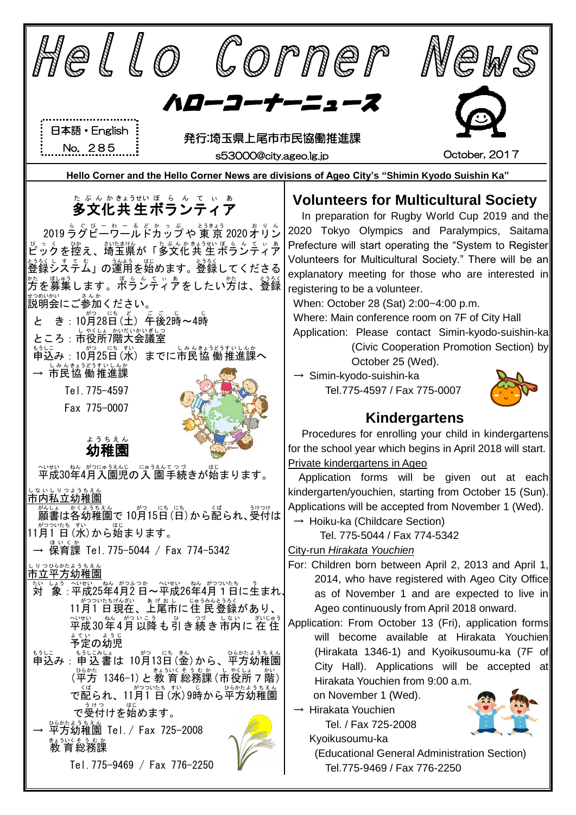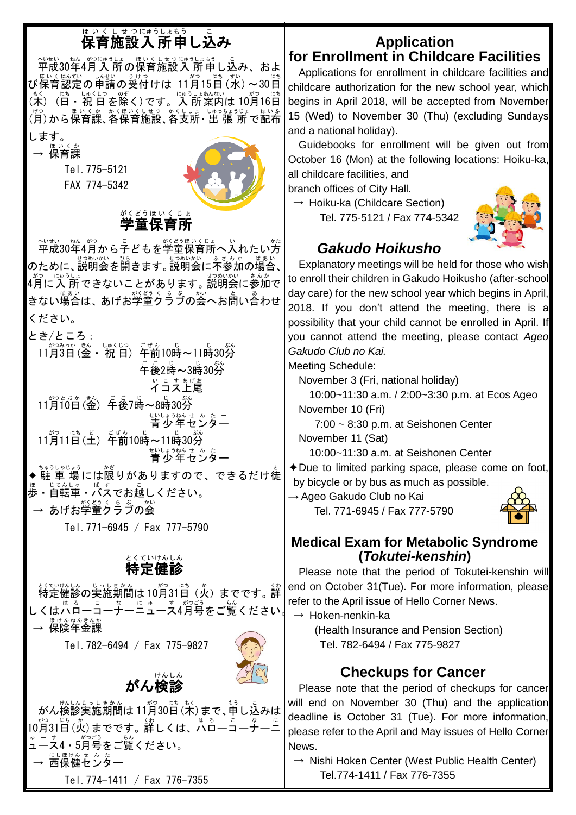# <sub>ほぃくしせっにゅぅしょもぅ</sub> <u>こ</u><br>保育施設入 所申し込み

〜……。<br>平成30年4月 入 所の保育施設 入 所申し込み、およ び保育認定の申請の受付けは 11月15日(水)~30日 (木) (日・祝 日を除く)です。入 所案内は 10月16日 (方)から保育課、各保育施設、各支所・出 張 所 で配布

します。 ほいくか 保育課 Tel.775-5121 FAX 774-5342



#### 学童 保育所 がくどう ほ い く じ ょ

平成 へいせい 30年 ねん 4月 がつ から子 こ どもを学童 がくどう 保育所 ほいくじょ へ入 い れたい方 かた のために、説明会ます。説明会に不参加の場合、 4月に入 所 できないことがあります。 説明会に参加で きない場合は、あげお学童クラブの会へお問い含わせ ください。

とき/ところ:

11月 がつ 3日 みっか (金 きん ・ 祝 しゅく 日 じつ ) 午前 ごぜん 10時 じ ~11時 じ 30分 ぷん \_\_。<br>午後2時~3時30分 ぃこすぁゖぉ<br>**イコス上尾** 11月 がつ 10日 とおか (金 きん ) 午後 ご ご 7時 じ ~8時 じ 30分 ぷん ಕುರ್ರಾನಿಸಿದರೆ ಎದು.<br>青少年センター 11月 がつ 11日 にち (土 ど ) 午前 ごぜん 10時 じ ~11時 じ 30分 ぷん ಕುರ್ರಾನಿಸಿದರೆ ಎದು.<br>青少年センター ◆ 駐 車 場には限りがありますので、できるだけ徒 <sub>ほ じてんしゃ</sub> ボぇ<br>歩・自転車・バスでお越しください。

→ あげお学童クラブの会

Tel.771-6945 / Fax 777-5790

#### 特定 健 診 とくていけんしん Ĉ.

特定 とくてい 健 けん 診 しん の実施 じっし 期間 きかん は 10月 がつ 31日 にち (火 か )までです。詳 くわ しくはハローコーナーニュース4月号をご覧ください。 → 保険年金課

Tel.782-6494 / Fax 775-9827





がん検診 けんしん

Ĉ.

#### **Application for Enrollment in Childcare Facilities**

Applications for enrollment in childcare facilities and childcare authorization for the new school year, which begins in April 2018, will be accepted from November 15 (Wed) to November 30 (Thu) (excluding Sundays and a national holiday).

Guidebooks for enrollment will be given out from October 16 (Mon) at the following locations: Hoiku-ka, all childcare facilities, and

branch offices of City Hall.

 $\rightarrow$  Hoiku-ka (Childcare Section) Tel. 775-5121 / Fax 774-5342



## *Gakudo Hoikusho*

Explanatory meetings will be held for those who wish to enroll their children in Gakudo Hoikusho (after-school day care) for the new school year which begins in April, 2018. If you don't attend the meeting, there is a possibility that your child cannot be enrolled in April. If you cannot attend the meeting, please contact *Ageo Gakudo Club no Kai.* 

Meeting Schedule:

November 3 (Fri, national holiday)

10:00~11:30 a.m. / 2:00~3:30 p.m. at Ecos Ageo November 10 (Fri)

7:00 ~ 8:30 p.m. at Seishonen Center November 11 (Sat)

10:00~11:30 a.m. at Seishonen Center

✦Due to limited parking space, please come on foot, by bicycle or by bus as much as possible.

→ Ageo Gakudo Club no Kai Tel. 771-6945 / Fax 777-5790



### **Medical Exam for Metabolic Syndrome (***Tokutei-kenshin***)**

Please note that the period of Tokutei-kenshin will end on October 31(Tue). For more information, please refer to the April issue of Hello Corner News.

 $\rightarrow$  Hoken-nenkin-ka

(Health Insurance and Pension Section) Tel. 782-6494 / Fax 775-9827

## **Checkups for Cancer**

Please note that the period of checkups for cancer will end on November 30 (Thu) and the application deadline is October 31 (Tue). For more information, please refer to the April and May issues of Hello Corner News.

 $\rightarrow$  Nishi Hoken Center (West Public Health Center) Tel.774-1411 / Fax 776-7355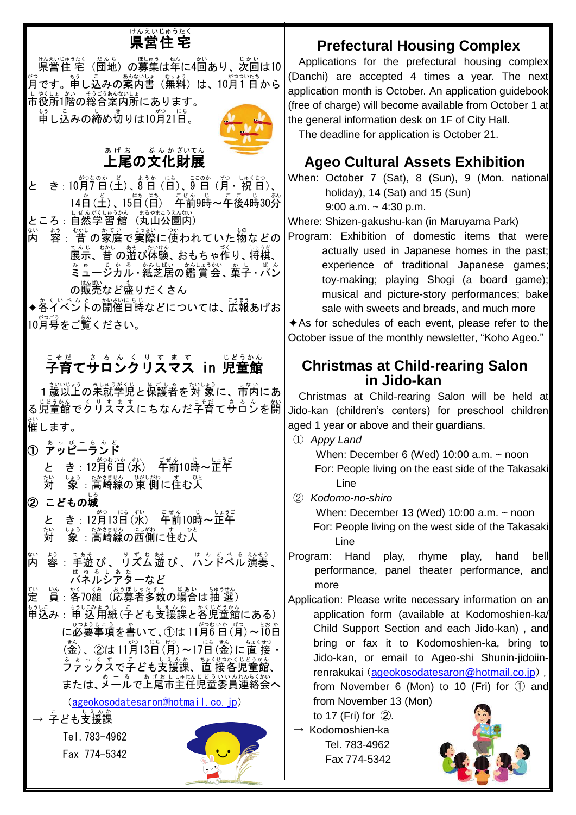# <sub>けんえいじゅうたく</sub>

<sub>けんえいじゅうたく だんち。 しゃう はんちょう じゅい<br>県営住 宅 (団地)の募集は年に4回あり、次回は10</sub> 約<br>月です。申し込みの案内書(無料)は、10月1日から 市 し 役所 やくしょ 1階 かい の総合 そうごう 案 あん 内所 ないしょ にあります。

<u>ょ</u>。<br>申し込みの締め切りは10月21日。



# 上尾 あ げ お の文化 ぶ ん か 財展 ざいてん

と き: 10月7日(土)、ポラポ (詰)、§゚目(月・祝日)、 14日(王)、15日(百) 车齢9時~年後4時30労

ところ:自然学習館(丸山公園内)

内 ない 容 よう :昔 の家庭で実際に使われていた物などの てんじゃかし。<br>展示、昔 の遊び体験、おもちゃ作り、将棋、 ミュージカル み ゅ ー じ か る ・紙芝居 かみしばい の鑑賞会 かんしょうかい 、菓子 か し ・パン ぱ ん の<sup>はんぱい</sup>など盛りだくさん

◆各イベントの開催日時などについては、広報あげお

10月号 がつごう をご覧 らん ください。

# <sub>こそだ(す</sub>るんくりすます)」。<br>**子育てサロンクリスマス in 児童館**

─ 盐いじょう みしゅうがくじ よぎしょう よいしょう<br>1歳以上の未就学児と保護者を対 象に、市内にあ る児童館 じどうかん でクリスマス くりすます にちなんだ子育 こそだ てサロン さろん を開 かい 催 します。 さい

- ① ァッピーランド
	- と き : 12月6日(水) 千前10時~正午 対 たい しょぅ たゕさきせん ひがしがゎ す ひと<br>- **象 :高崎線の 東 側に住む人**
- ② こどもの城

と き : 12月13日(水) 「<sup>ヸん</sup>10時~正午 対 たい しょぅ セゕききセん にレがゎ す ひと<br>「象 :高崎線の西側に住む人

- 。<br>内 容 :手遊び 、リズム遊び 、ハンドベル演奏 、 <sub>ぱぉ る しぁ た –<br>パネルシアターなど</sub>
- 定 てい )。<br>3、各70組(応募者多数の場合は抽 選)
- もうに。<br>申込み : 申 込用紙(子ども支援課と各児童館にある) に必要事項を書いて、①は 11月6日(月)~10日 (釜)、②は11月13日(月)~17日(釜)に直接・ ファックス ふぁっくす で子 こ ども支援課 しえんか 、直 接 ちょくせつ 各児童館 かくじどうかん 、 または、メールで上尾市主任児童委員連絡会へ

[\(ageokosodatesaron@hotmail.co.jp\)](mailto:ageokosodatesaron@hotmail.co.jp)

→ 字ども支援課

Tel.783-4962 Fax 774-5342



### **Prefectural Housing Complex**

Applications for the prefectural housing complex (Danchi) are accepted 4 times a year. The next application month is October. An application guidebook (free of charge) will become available from October 1 at the general information desk on 1F of City Hall. The deadline for application is October 21.

### **Ageo Cultural Assets Exhibition**

When: October 7 (Sat), 8 (Sun), 9 (Mon. national holiday), 14 (Sat) and 15 (Sun) 9:00 a.m.  $\sim$  4:30 p.m.

Where: Shizen-gakushu-kan (in Maruyama Park)

Program: Exhibition of domestic items that were actually used in Japanese homes in the past; experience of traditional Japanese games; toy-making; playing Shogi (a board game); musical and picture-story performances; bake sale with sweets and breads, and much more

 $\triangle$ As for schedules of each event, please refer to the October issue of the monthly newsletter, "Koho Ageo."

#### **Christmas at Child-rearing Salon in Jido-kan**

 Christmas at Child-rearing Salon will be held at Jido-kan (children's centers) for preschool children aged 1 year or above and their guardians.

① *Appy Land*

When: December 6 (Wed)  $10:00$  a.m.  $\sim$  noon For: People living on the east side of the Takasaki Line

② *Kodomo-no-shiro*

When: December 13 (Wed) 10:00 a.m. ~ noon For: People living on the west side of the Takasaki Line

Program: Hand play, rhyme play, hand bell performance, panel theater performance, and more

Application: Please write necessary information on an application form (available at Kodomoshien-ka/ Child Support Section and each Jido-kan) , and bring or fax it to Kodomoshien-ka, bring to Jido-kan, or email to Ageo-shi Shunin-jidoiinrenrakukai([ageokosodatesaron@hotmail.co.jp](mailto:ageokosodatesaron@hotmail.co.jp)), from November 6 (Mon) to 10 (Fri) for  $(1)$  and from November 13 (Mon)

to 17 (Fri) for ②.

 $\rightarrow$  Kodomoshien-ka Tel. 783-4962 Fax 774-5342